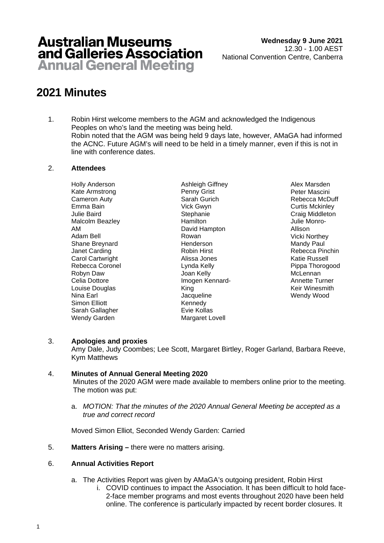## **Australian Museums** and Galleries Association **Annual General Meeting**

# **2021 Minutes**

1. Robin Hirst welcome members to the AGM and acknowledged the Indigenous Peoples on who's land the meeting was being held. Robin noted that the AGM was being held 9 days late, however, AMaGA had informed the ACNC. Future AGM's will need to be held in a timely manner, even if this is not in line with conference dates.

#### 2. **Attendees**

Holly Anderson Kate Armstrong Cameron Auty Emma Bain Julie Baird Malcolm Beazley AM Adam Bell Shane Breynard Janet Carding Carol Cartwright Rebecca Coronel Robyn Daw Celia Dottore Louise Douglas Nina Earl Simon Elliott Sarah Gallagher Wendy Garden

Ashleigh Giffney Penny Grist Sarah Gurich Vick Gwyn **Stephanie** Hamilton David Hampton Rowan Henderson Robin Hirst Alissa Jones Lynda Kelly Joan Kelly Imogen Kennard-King Jacqueline Kennedy Evie Kollas Margaret Lovell

Alex Marsden Peter Mascini Rebecca McDuff Curtis Mckinley Craig Middleton Julie Monro-Allison Vicki Northey Mandy Paul Rebecca Pinchin Katie Russell Pippa Thorogood **McLennan** Annette Turner Keir Winesmith Wendy Wood

## 3. **Apologies and proxies**

Amy Dale, Judy Coombes; Lee Scott, Margaret Birtley, Roger Garland, Barbara Reeve, Kym Matthews

## 4. **Minutes of Annual General Meeting 2020**

Minutes of the 2020 AGM were made available to members online prior to the meeting. The motion was put:

a. *MOTION: That the minutes of the 2020 Annual General Meeting be accepted as a true and correct record*

Moved Simon Elliot, Seconded Wendy Garden: Carried

5. **Matters Arising –** there were no matters arising.

## 6. **Annual Activities Report**

- a. The Activities Report was given by AMaGA's outgoing president, Robin Hirst
	- i. COVID continues to impact the Association. It has been difficult to hold face-2-face member programs and most events throughout 2020 have been held online. The conference is particularly impacted by recent border closures. It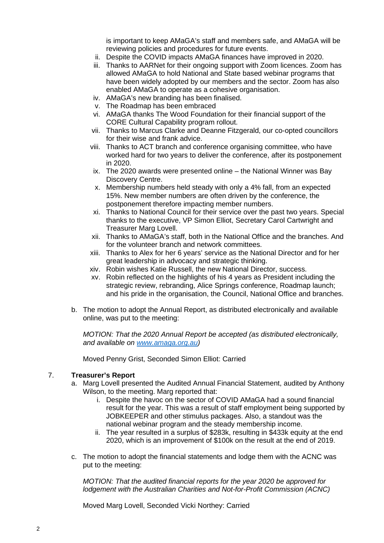is important to keep AMaGA's staff and members safe, and AMaGA will be reviewing policies and procedures for future events.

- ii. Despite the COVID impacts AMaGA finances have improved in 2020.
- iii. Thanks to AARNet for their ongoing support with Zoom licences. Zoom has allowed AMaGA to hold National and State based webinar programs that have been widely adopted by our members and the sector. Zoom has also enabled AMaGA to operate as a cohesive organisation.
- iv. AMaGA's new branding has been finalised.
- v. The Roadmap has been embraced
- vi. AMaGA thanks The Wood Foundation for their financial support of the CORE Cultural Capability program rollout.
- vii. Thanks to Marcus Clarke and Deanne Fitzgerald, our co-opted councillors for their wise and frank advice.
- viii. Thanks to ACT branch and conference organising committee, who have worked hard for two years to deliver the conference, after its postponement in 2020.
- ix. The 2020 awards were presented online the National Winner was Bay Discovery Centre.
- x. Membership numbers held steady with only a 4% fall, from an expected 15%. New member numbers are often driven by the conference, the postponement therefore impacting member numbers.
- xi. Thanks to National Council for their service over the past two years. Special thanks to the executive, VP Simon Elliot, Secretary Carol Cartwright and Treasurer Marg Lovell.
- xii. Thanks to AMaGA's staff, both in the National Office and the branches. And for the volunteer branch and network committees.
- xiii. Thanks to Alex for her 6 years' service as the National Director and for her great leadership in advocacy and strategic thinking.
- xiv. Robin wishes Katie Russell, the new National Director, success.
- xv. Robin reflected on the highlights of his 4 years as President including the strategic review, rebranding, Alice Springs conference, Roadmap launch; and his pride in the organisation, the Council, National Office and branches.
- b. The motion to adopt the Annual Report, as distributed electronically and available online, was put to the meeting:

*MOTION: That the 2020 Annual Report be accepted (as distributed electronically, and available on [www.amaga.org.au\)](http://www.amaga.org.au/)*

Moved Penny Grist, Seconded Simon Elliot: Carried

#### 7. **Treasurer's Report**

- a. Marg Lovell presented the Audited Annual Financial Statement, audited by Anthony Wilson, to the meeting. Marg reported that:
	- i. Despite the havoc on the sector of COVID AMaGA had a sound financial result for the year. This was a result of staff employment being supported by JOBKEEPER and other stimulus packages. Also, a standout was the national webinar program and the steady membership income.
	- ii. The year resulted in a surplus of \$283k, resulting in \$433k equity at the end 2020, which is an improvement of \$100k on the result at the end of 2019.
- c. The motion to adopt the financial statements and lodge them with the ACNC was put to the meeting:

*MOTION: That the audited financial reports for the year 2020 be approved for lodgement with the Australian Charities and Not-for-Profit Commission (ACNC)*

Moved Marg Lovell, Seconded Vicki Northey: Carried